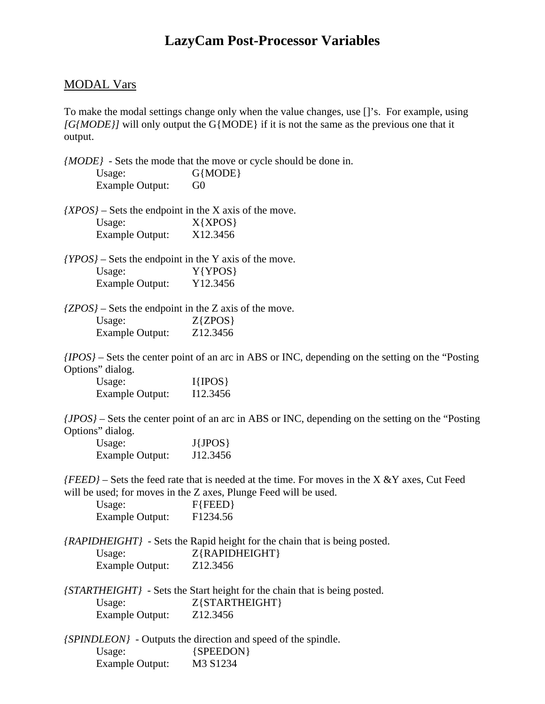## **LazyCam Post-Processor Variables**

## MODAL Vars

To make the modal settings change only when the value changes, use []'s. For example, using *[G{MODE}]* will only output the G{MODE} if it is not the same as the previous one that it output.

*{MODE}* - Sets the mode that the move or cycle should be done in. Usage: G{MODE} Example Output: G0

*{XPOS}* – Sets the endpoint in the X axis of the move. Usage:  $X{XPOS}$ Example Output: X12.3456

*{YPOS}* – Sets the endpoint in the Y axis of the move. Usage:  $Y{YPOS}$ Example Output: Y12.3456

*{ZPOS}* – Sets the endpoint in the Z axis of the move. Usage:  $Z\{ZPOS\}$ Example Output: Z12.3456

*{IPOS}* – Sets the center point of an arc in ABS or INC, depending on the setting on the "Posting Options" dialog.

| Usage:          | $I\{IPOS\}$ |
|-----------------|-------------|
| Example Output: | I12.3456    |

*{JPOS}* – Sets the center point of an arc in ABS or INC, depending on the setting on the "Posting Options" dialog.

| Usage:          | $J\{JPOS\}$ |
|-----------------|-------------|
| Example Output: | J12.3456    |

*{FEED}* – Sets the feed rate that is needed at the time. For moves in the X &Y axes, Cut Feed will be used; for moves in the Z axes, Plunge Feed will be used.

| Usage:          | $F$ {FEED}           |
|-----------------|----------------------|
| Example Output: | F <sub>1234.56</sub> |

*{RAPIDHEIGHT}* - Sets the Rapid height for the chain that is being posted. Usage:  $Z{RAPIDHEIGHT}$ Example Output: Z12.3456

|                 | <i>(STARTHEIGHT)</i> - Sets the Start height for the chain that is being posted. |
|-----------------|----------------------------------------------------------------------------------|
| Usage:          | $Z\{STARTHEIGHT\}$                                                               |
| Example Output: | Z <sub>12</sub> .3456                                                            |

*{SPINDLEON}* - Outputs the direction and speed of the spindle. Usage: {SPEEDON} Example Output: M3 S1234